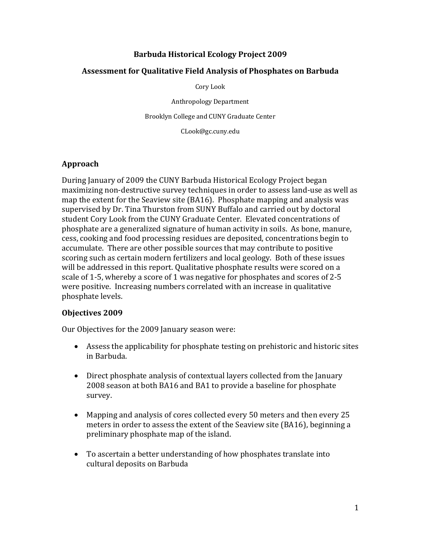## **Barbuda Historical Ecology Project 2009**

#### **Assessment for Qualitative Field Analysis of Phosphates on Barbuda**

Cory Look

Anthropology Department

Brooklyn College and CUNY Graduate Center

CLook@gc.cuny.edu

#### **Approach**

During January of 2009 the CUNY Barbuda Historical Ecology Project began maximizing non‐destructive survey techniques in order to assess land‐use as well as map the extent for the Seaview site (BA16). Phosphate mapping and analysis was supervised by Dr. Tina Thurston from SUNY Buffalo and carried out by doctoral student Cory Look from the CUNY Graduate Center. Elevated concentrations of phosphate are a generalized signature of human activity in soils. As bone, manure, cess, cooking and food processing residues are deposited, concentrations begin to accumulate. There are other possible sources that may contribute to positive scoring such as certain modern fertilizers and local geology. Both of these issues will be addressed in this report. Qualitative phosphate results were scored on a scale of 1‐5, whereby a score of 1 was negative for phosphates and scores of 2‐5 were positive. Increasing numbers correlated with an increase in qualitative phosphate levels.

#### **Objectives 2009**

Our Objectives for the 2009 January season were:

- Assess the applicability for phosphate testing on prehistoric and historic sites in Barbuda.
- Direct phosphate analysis of contextual layers collected from the January 2008 season at both BA16 and BA1 to provide a baseline for phosphate survey.
- Mapping and analysis of cores collected every 50 meters and then every 25 meters in order to assess the extent of the Seaview site (BA16), beginning a preliminary phosphate map of the island.
- To ascertain a better understanding of how phosphates translate into cultural deposits on Barbuda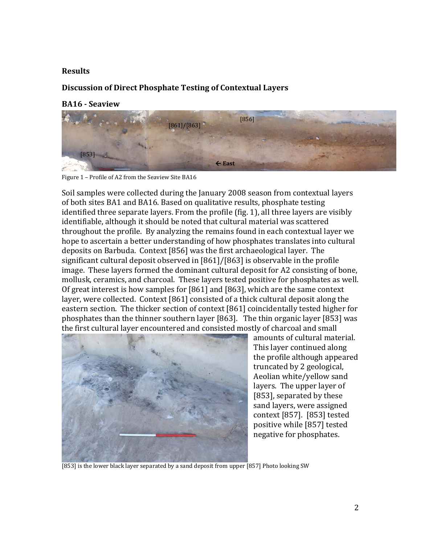#### **Results**

## **Discussion of Direct Phosphate Testing of Contextual Layers**

#### **BA16 Seaview**



Figure 1 – Profile of A2 from the Seaview Site BA16

Soil samples were collected during the January 2008 season from contextual layers of both sites BA1 and BA16. Based on qualitative results, phosphate testing identified three separate layers. From the profile (fig. 1), all three layers are visibly identifiable, although it should be noted that cultural material was scattered throughout the profile. By analyzing the remains found in each contextual layer we hope to ascertain a better understanding of how phosphates translates into cultural deposits on Barbuda. Context [856] was the first archaeological layer. The significant cultural deposit observed in [861]/[863] is observable in the profile image. These layers formed the dominant cultural deposit for A2 consisting of bone, mollusk, ceramics, and charcoal. These layers tested positive for phosphates as well. Of great interest is how samples for [861] and [863], which are the same context layer, were collected. Context [861] consisted of a thick cultural deposit along the eastern section. The thicker section of context [861] coincidentally tested higher for phosphates than the thinner southern layer [863]. The thin organic layer [853] was the first cultural layer encountered and consisted mostly of charcoal and small



amounts of cultural material. This layer continued along the profile although appeared truncated by 2 geological, Aeolian white/yellow sand layers. The upper layer of [853], separated by these sand layers, were assigned context [857]. [853] tested positive while [857] tested negative for phosphates.

[853] is the lower black layer separated by a sand deposit from upper [857] Photo looking SW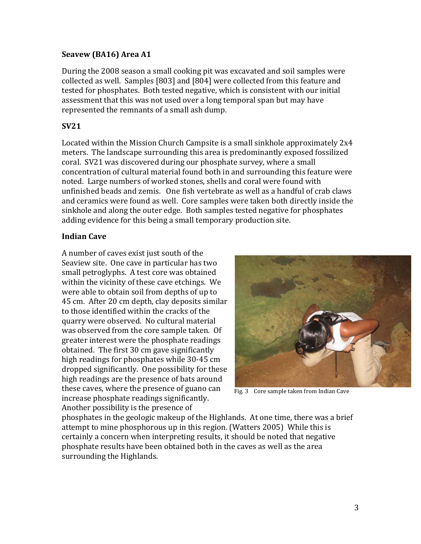## **Seavew (BA16) Area A1**

During the 2008 season a small cooking pit was excavated and soil samples were collected as well. Samples [803] and [804] were collected from this feature and tested for phosphates. Both tested negative, which is consistent with our initial assessment that this was not used over a long temporal span but may have represented the remnants of a small ash dump.

# **SV21**

Located within the Mission Church Campsite is a small sinkhole approximately 2x4 meters. The landscape surrounding this area is predominantly exposed fossilized coral. SV21 was discovered during our phosphate survey, where a small concentration of cultural material found both in and surrounding this feature were noted. Large numbers of worked stones, shells and coral were found with unfinished beads and zemis. One fish vertebrate as well as a handful of crab claws and ceramics were found as well. Core samples were taken both directly inside the sinkhole and along the outer edge. Both samples tested negative for phosphates adding evidence for this being a small temporary production site.

# **Indian Cave**

A number of caves exist just south of the Seaview site. One cave in particular has two small petroglyphs. A test core was obtained within the vicinity of these cave etchings. We were able to obtain soil from depths of up to 45 cm. After 20 cm depth, clay deposits similar to those identified within the cracks of the quarry were observed. No cultural material was observed from the core sample taken. Of greater interest were the phosphate readings obtained. The first 30 cm gave significantly high readings for phosphates while 30‐45 cm dropped significantly. One possibility for these high readings are the presence of bats around these caves, where the presence of guano can increase phosphate readings significantly. Another possibility is the presence of



Fig. 3 Core sample taken from Indian Cave

phosphates in the geologic makeup of the Highlands. At one time, there was a brief attempt to mine phosphorous up in this region. (Watters 2005) While this is certainly a concern when interpreting results, it should be noted that negative phosphate results have been obtained both in the caves as well as the area surrounding the Highlands.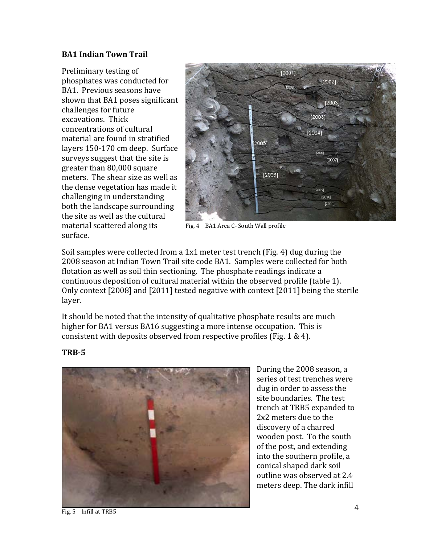### **BA1 Indian Town Trail**

Preliminary testing of phosphates was conducted for BA1. Previous seasons have shown that BA1 poses significant challenges for future excavations. Thick concentrations of cultural material are found in stratified layers 150‐170 cm deep. Surface surveys suggest that the site is greater than 80,000 square meters. The shear size as well as the dense vegetation has made it challenging in understanding both the landscape surrounding the site as well as the cultural material scattered along its surface.



Fig. 4 BA1 Area C- South Wall profile

Soil samples were collected from a 1x1 meter test trench (Fig. 4) dug during the 2008 season at Indian Town Trail site code BA1. Samples were collected for both flotation as well as soil thin sectioning. The phosphate readings indicate a continuous deposition of cultural material within the observed profile (table 1). Only context [2008] and [2011] tested negative with context [2011] being the sterile layer.

It should be noted that the intensity of qualitative phosphate results are much higher for BA1 versus BA16 suggesting a more intense occupation. This is consistent with deposits observed from respective profiles (Fig. 1 & 4).



During the 2008 season, a series of test trenches were dug in order to assess the site boundaries. The test trench at TRB5 expanded to 2x2 meters due to the discovery of a charred wooden post. To the south of the post, and extending into the southern profile, a conical shaped dark soil outline was observed at 2.4 meters deep. The dark infill

#### **TRB5**

Fig. 5 Infill at TRB5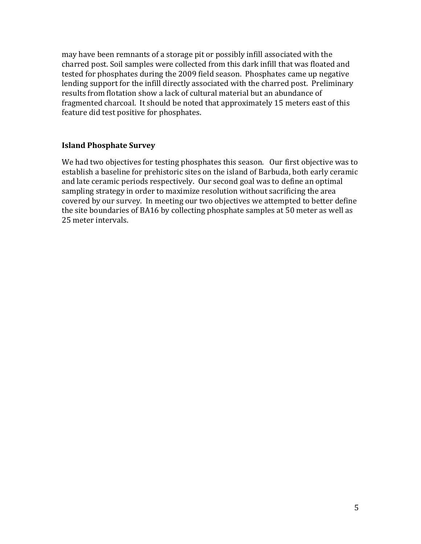may have been remnants of a storage pit or possibly infill associated with the charred post. Soil samples were collected from this dark infill that was floated and tested for phosphates during the 2009 field season. Phosphates came up negative lending support for the infill directly associated with the charred post. Preliminary results from flotation show a lack of cultural material but an abundance of fragmented charcoal. It should be noted that approximately 15 meters east of this feature did test positive for phosphates.

#### **Island Phosphate Survey**

We had two objectives for testing phosphates this season. Our first objective was to establish a baseline for prehistoric sites on the island of Barbuda, both early ceramic and late ceramic periods respectively. Our second goal was to define an optimal sampling strategy in order to maximize resolution without sacrificing the area covered by our survey. In meeting our two objectives we attempted to better define the site boundaries of BA16 by collecting phosphate samples at 50 meter as well as 25 meter intervals.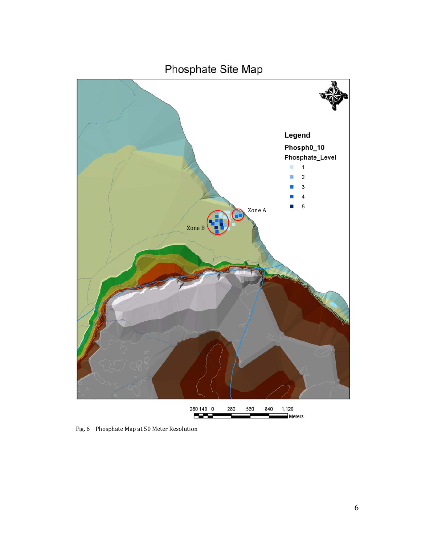

Fig. 6 Phosphate Map at 50 Meter Resolution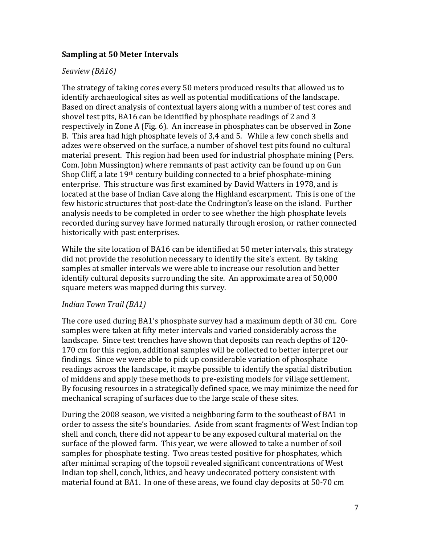## **Sampling at 50 Meter Intervals**

## *Seaview (BA16)*

The strategy of taking cores every 50 meters produced results that allowed us to identify archaeological sites as well as potential modifications of the landscape. Based on direct analysis of contextual layers along with a number of test cores and shovel test pits, BA16 can be identified by phosphate readings of 2 and 3 respectively in Zone A (Fig. 6). An increase in phosphates can be observed in Zone B. This area had high phosphate levels of 3,4 and 5. While a few conch shells and adzes were observed on the surface, a number of shovel test pits found no cultural material present. This region had been used for industrial phosphate mining (Pers. Com. John Mussington) where remnants of past activity can be found up on Gun Shop Cliff, a late 19<sup>th</sup> century building connected to a brief phosphate-mining enterprise. This structure was first examined by David Watters in 1978, and is located at the base of Indian Cave along the Highland escarpment. This is one of the few historic structures that post-date the Codrington's lease on the island. Further analysis needs to be completed in order to see whether the high phosphate levels recorded during survey have formed naturally through erosion, or rather connected historically with past enterprises.

While the site location of BA16 can be identified at 50 meter intervals, this strategy did not provide the resolution necessary to identify the site's extent. By taking samples at smaller intervals we were able to increase our resolution and better identify cultural deposits surrounding the site. An approximate area of 50,000 square meters was mapped during this survey.

#### *Indian Town Trail (BA1)*

The core used during BA1's phosphate survey had a maximum depth of 30 cm. Core samples were taken at fifty meter intervals and varied considerably across the landscape. Since test trenches have shown that deposits can reach depths of 120‐ 170 cm for this region, additional samples will be collected to better interpret our findings. Since we were able to pick up considerable variation of phosphate readings across the landscape, it maybe possible to identify the spatial distribution of middens and apply these methods to pre‐existing models for village settlement. By focusing resources in a strategically defined space, we may minimize the need for mechanical scraping of surfaces due to the large scale of these sites.

During the 2008 season, we visited a neighboring farm to the southeast of BA1 in order to assess the site's boundaries. Aside from scant fragments of West Indian top shell and conch, there did not appear to be any exposed cultural material on the surface of the plowed farm. This year, we were allowed to take a number of soil samples for phosphate testing. Two areas tested positive for phosphates, which after minimal scraping of the topsoil revealed significant concentrations of West Indian top shell, conch, lithics, and heavy undecorated pottery consistent with material found at BA1. In one of these areas, we found clay deposits at 50‐70 cm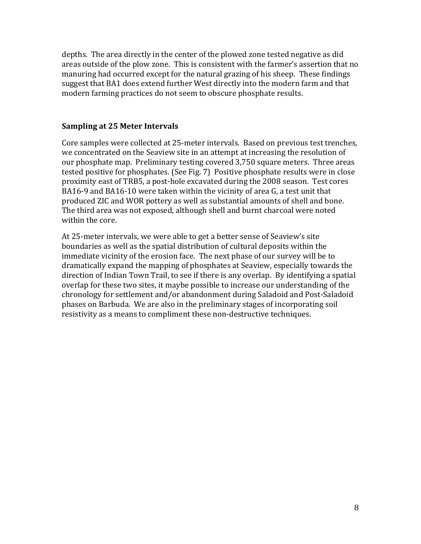depths. The area directly in the center of the plowed zone tested negative as did areas outside of the plow zone. This is consistent with the farmer's assertion that no manuring had occurred except for the natural grazing of his sheep. These findings suggest that BA1 does extend further West directly into the modern farm and that modern farming practices do not seem to obscure phosphate results.

## **Sampling at 25 Meter Intervals**

Core samples were collected at 25‐meter intervals. Based on previous test trenches, we concentrated on the Seaview site in an attempt at increasing the resolution of our phosphate map. Preliminary testing covered 3,750 square meters. Three areas tested positive for phosphates. (See Fig. 7) Positive phosphate results were in close proximity east of TRB5, a post‐hole excavated during the 2008 season. Test cores BA16‐9 and BA16‐10 were taken within the vicinity of area G, a test unit that produced ZIC and WOR pottery as well as substantial amounts of shell and bone. The third area was not exposed, although shell and burnt charcoal were noted within the core.

At 25‐meter intervals, we were able to get a better sense of Seaview's site boundaries as well as the spatial distribution of cultural deposits within the immediate vicinity of the erosion face. The next phase of our survey will be to dramatically expand the mapping of phosphates at Seaview, especially towards the direction of Indian Town Trail, to see if there is any overlap. By identifying a spatial overlap for these two sites, it maybe possible to increase our understanding of the chronology for settlement and/or abandonment during Saladoid and Post‐Saladoid phases on Barbuda. We are also in the preliminary stages of incorporating soil resistivity as a means to compliment these non-destructive techniques.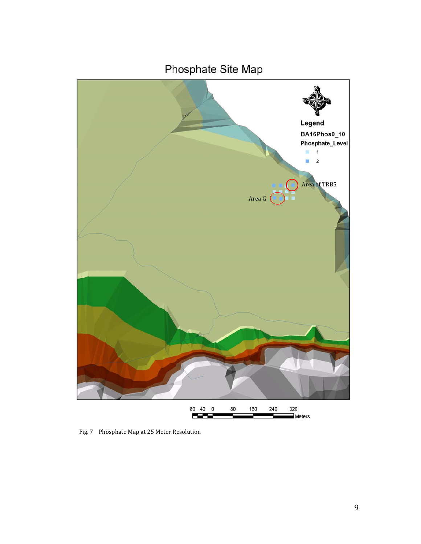

Fig. 7 Phosphate Map at 25 Meter Resolution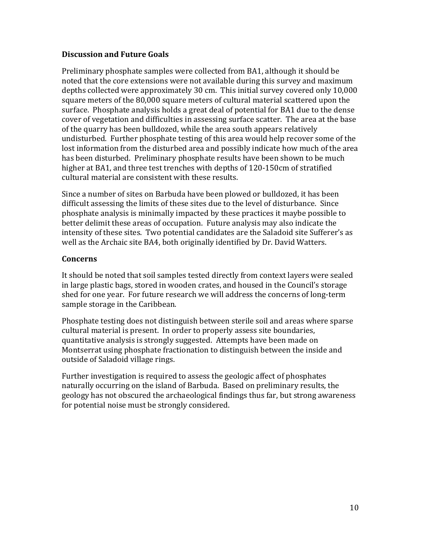## **Discussion and Future Goals**

Preliminary phosphate samples were collected from BA1, although it should be noted that the core extensions were not available during this survey and maximum depths collected were approximately 30 cm. This initial survey covered only 10,000 square meters of the 80,000 square meters of cultural material scattered upon the surface. Phosphate analysis holds a great deal of potential for BA1 due to the dense cover of vegetation and difficulties in assessing surface scatter. The area at the base of the quarry has been bulldozed, while the area south appears relatively undisturbed. Further phosphate testing of this area would help recover some of the lost information from the disturbed area and possibly indicate how much of the area has been disturbed. Preliminary phosphate results have been shown to be much higher at BA1, and three test trenches with depths of 120‐150cm of stratified cultural material are consistent with these results.

Since a number of sites on Barbuda have been plowed or bulldozed, it has been difficult assessing the limits of these sites due to the level of disturbance. Since phosphate analysis is minimally impacted by these practices it maybe possible to better delimit these areas of occupation. Future analysis may also indicate the intensity of these sites. Two potential candidates are the Saladoid site Sufferer's as well as the Archaic site BA4, both originally identified by Dr. David Watters.

# **Concerns**

It should be noted that soil samples tested directly from context layers were sealed in large plastic bags, stored in wooden crates, and housed in the Council's storage shed for one year. For future research we will address the concerns of long-term sample storage in the Caribbean.

Phosphate testing does not distinguish between sterile soil and areas where sparse cultural material is present. In order to properly assess site boundaries, quantitative analysis is strongly suggested. Attempts have been made on Montserrat using phosphate fractionation to distinguish between the inside and outside of Saladoid village rings.

Further investigation is required to assess the geologic affect of phosphates naturally occurring on the island of Barbuda. Based on preliminary results, the geology has not obscured the archaeological findings thus far, but strong awareness for potential noise must be strongly considered.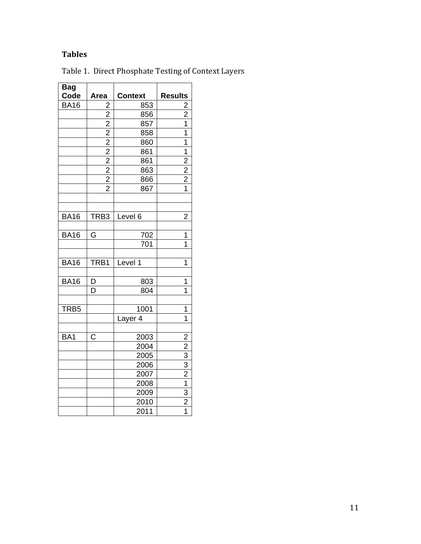# **Tables**

| <b>Bag</b><br>Code | Area                                      | <b>Context</b> | <b>Results</b>                                                                      |
|--------------------|-------------------------------------------|----------------|-------------------------------------------------------------------------------------|
| <b>BA16</b>        |                                           | 853            |                                                                                     |
|                    | $\frac{2}{2}$ $\frac{2}{2}$ $\frac{2}{2}$ | 856            | $\frac{2}{2}$ $\frac{1}{1}$                                                         |
|                    |                                           | 857            |                                                                                     |
|                    |                                           | 858            |                                                                                     |
|                    |                                           | 860            | $\overline{1}$                                                                      |
|                    | $\frac{2}{2}$ $\frac{2}{2}$               | 861            | $\overline{1}$                                                                      |
|                    |                                           | 861            | $\frac{2}{2}$ $\frac{2}{1}$                                                         |
|                    |                                           | 863            |                                                                                     |
|                    |                                           | 866            |                                                                                     |
|                    | $\overline{2}$                            | 867            |                                                                                     |
| <b>BA16</b>        | TRB3                                      | Level 6        | $\overline{2}$                                                                      |
| <b>BA16</b>        | G                                         | 702            | 1                                                                                   |
|                    |                                           | 701            | 1                                                                                   |
| <b>BA16</b>        | TRB1                                      | Level 1        | 1                                                                                   |
| <b>BA16</b>        | D                                         | 803            | 1                                                                                   |
|                    | D                                         | 804            | $\overline{1}$                                                                      |
| TRB <sub>5</sub>   |                                           | 1001           | 1                                                                                   |
|                    |                                           | Layer 4        | 1                                                                                   |
| BA1                | C                                         | 2003           |                                                                                     |
|                    |                                           | 2004           |                                                                                     |
|                    |                                           | 2005           |                                                                                     |
|                    |                                           | 2006           |                                                                                     |
|                    |                                           | 2007           |                                                                                     |
|                    |                                           | 2008           |                                                                                     |
|                    |                                           | 2009           |                                                                                     |
|                    |                                           | 2010           | $\frac{2}{2}$ $\frac{3}{3}$ $\frac{3}{2}$ $\frac{1}{1}$ $\frac{3}{2}$ $\frac{2}{1}$ |
|                    |                                           | 2011           |                                                                                     |

Table 1. Direct Phosphate Testing of Context Layers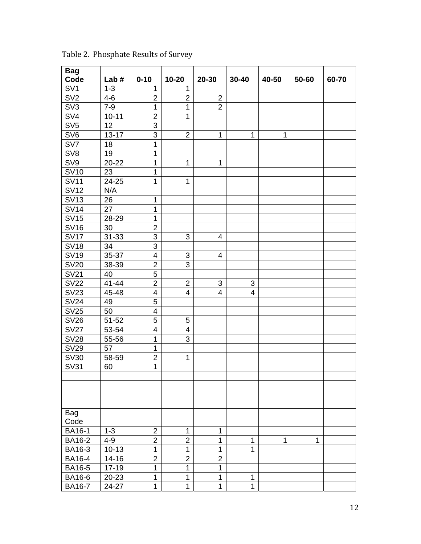| <b>Bag</b>      |           |                         |                           |                          |                         |              |       |       |
|-----------------|-----------|-------------------------|---------------------------|--------------------------|-------------------------|--------------|-------|-------|
| Code            | Lab $#$   | $0 - 10$                | $10 - 20$                 | 20-30                    | $30 - 40$               | 40-50        | 50-60 | 60-70 |
| SV <sub>1</sub> | $1 - 3$   | $\mathbf 1$             | 1                         |                          |                         |              |       |       |
| SV <sub>2</sub> | $4 - 6$   | $\overline{2}$          | $\overline{2}$            | $\overline{2}$           |                         |              |       |       |
| SV <sub>3</sub> | $7 - 9$   | $\mathbf{1}$            | $\mathbf 1$               | $\overline{2}$           |                         |              |       |       |
| SV <sub>4</sub> | $10 - 11$ | $\overline{c}$          | $\mathbf 1$               |                          |                         |              |       |       |
| SV <sub>5</sub> | 12        | 3                       |                           |                          |                         |              |       |       |
| SV <sub>6</sub> | $13 - 17$ | 3                       | $\overline{2}$            | 1                        | 1                       | $\mathbf{1}$ |       |       |
| SV7             | 18        | $\overline{1}$          |                           |                          |                         |              |       |       |
| SV <sub>8</sub> | 19        | $\mathbf{1}$            |                           |                          |                         |              |       |       |
| SV9             | 20-22     | $\mathbf{1}$            | 1                         | 1                        |                         |              |       |       |
| <b>SV10</b>     | 23        | $\mathbf{1}$            |                           |                          |                         |              |       |       |
| <b>SV11</b>     | 24-25     | $\mathbf{1}$            | $\mathbf 1$               |                          |                         |              |       |       |
| <b>SV12</b>     | N/A       |                         |                           |                          |                         |              |       |       |
| <b>SV13</b>     | 26        | $\mathbf 1$             |                           |                          |                         |              |       |       |
| <b>SV14</b>     | 27        | $\mathbf{1}$            |                           |                          |                         |              |       |       |
| <b>SV15</b>     | 28-29     | $\mathbf{1}$            |                           |                          |                         |              |       |       |
| <b>SV16</b>     | 30        | $\overline{2}$          |                           |                          |                         |              |       |       |
| <b>SV17</b>     | $31 - 33$ | 3                       | 3                         | 4                        |                         |              |       |       |
| <b>SV18</b>     | 34        | 3                       |                           |                          |                         |              |       |       |
| <b>SV19</b>     | 35-37     | $\overline{\mathbf{4}}$ | $\ensuremath{\mathsf{3}}$ | $\overline{\mathcal{A}}$ |                         |              |       |       |
| <b>SV20</b>     | 38-39     | $\overline{2}$          | 3                         |                          |                         |              |       |       |
| <b>SV21</b>     | 40        | 5                       |                           |                          |                         |              |       |       |
| <b>SV22</b>     | $41 - 44$ | $\overline{2}$          | $\overline{2}$            | 3                        | 3                       |              |       |       |
| <b>SV23</b>     | 45-48     | $\overline{\mathbf{4}}$ | $\overline{\mathbf{4}}$   | $\overline{\mathbf{4}}$  | $\overline{\mathbf{4}}$ |              |       |       |
| <b>SV24</b>     | 49        | 5                       |                           |                          |                         |              |       |       |
| <b>SV25</b>     | 50        | $\overline{\mathbf{4}}$ |                           |                          |                         |              |       |       |
| <b>SV26</b>     | $51 - 52$ | 5                       | 5                         |                          |                         |              |       |       |
| <b>SV27</b>     | 53-54     | $\overline{\mathbf{4}}$ | $\overline{\mathbf{4}}$   |                          |                         |              |       |       |
| <b>SV28</b>     | 55-56     | $\mathbf{1}$            | 3                         |                          |                         |              |       |       |
| <b>SV29</b>     | 57        | $\mathbf 1$             |                           |                          |                         |              |       |       |
| <b>SV30</b>     | 58-59     | $\overline{2}$          | 1                         |                          |                         |              |       |       |
| <b>SV31</b>     | 60        | $\overline{1}$          |                           |                          |                         |              |       |       |
|                 |           |                         |                           |                          |                         |              |       |       |
|                 |           |                         |                           |                          |                         |              |       |       |
|                 |           |                         |                           |                          |                         |              |       |       |
| Bag             |           |                         |                           |                          |                         |              |       |       |
| Code            |           |                         |                           |                          |                         |              |       |       |
| <b>BA16-1</b>   | $1 - 3$   | $\overline{2}$          | 1                         | 1                        |                         |              |       |       |
| <b>BA16-2</b>   | $4 - 9$   | $\overline{2}$          | $\overline{2}$            | 1                        | 1                       | 1            | 1     |       |
| BA16-3          | $10 - 13$ | $\overline{1}$          | $\mathbf 1$               | 1                        | 1                       |              |       |       |
| <b>BA16-4</b>   | $14 - 16$ | $\overline{2}$          | $\overline{2}$            | $\overline{2}$           |                         |              |       |       |
| BA16-5          | $17 - 19$ | $\overline{1}$          | $\mathbf 1$               | 1                        |                         |              |       |       |
| <b>BA16-6</b>   | 20-23     | $\mathbf 1$             | $\mathbf 1$               | 1                        | 1                       |              |       |       |
| <b>BA16-7</b>   | 24-27     | $\mathbf 1$             | $\mathbf 1$               | 1                        | 1                       |              |       |       |

Table 2. Phosphate Results of Survey